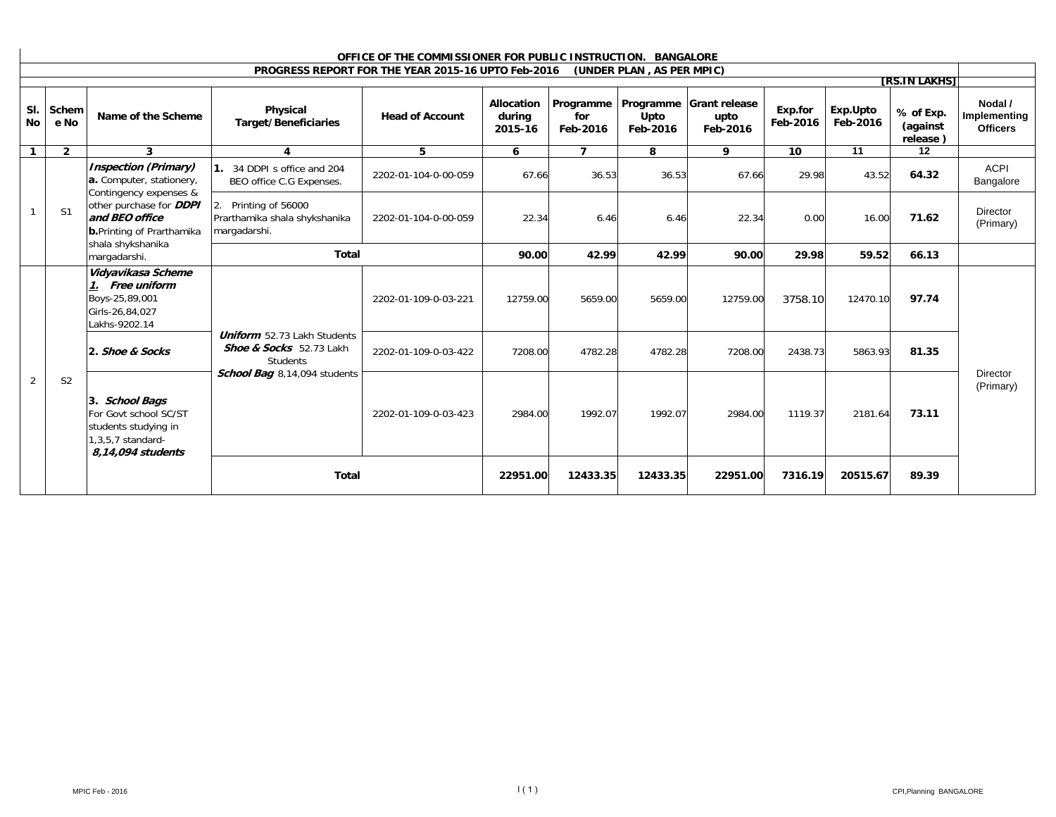| OFFICE OF THE COMMISSIONER FOR PUBLIC INSTRUCTION. BANGALORE |                |                                                                                                                                                                                                                 |                                                                                  |                                                    |                                 |                              |                           |                                             |                     |                      |                                   |                                            |
|--------------------------------------------------------------|----------------|-----------------------------------------------------------------------------------------------------------------------------------------------------------------------------------------------------------------|----------------------------------------------------------------------------------|----------------------------------------------------|---------------------------------|------------------------------|---------------------------|---------------------------------------------|---------------------|----------------------|-----------------------------------|--------------------------------------------|
|                                                              |                |                                                                                                                                                                                                                 |                                                                                  | PROGRESS REPORT FOR THE YEAR 2015-16 UPTO Feb-2016 |                                 |                              | (UNDER PLAN, AS PER MPIC) |                                             |                     |                      |                                   |                                            |
|                                                              |                |                                                                                                                                                                                                                 |                                                                                  |                                                    |                                 |                              |                           |                                             |                     |                      | [RS.IN LAKHS]                     |                                            |
| SI.<br><b>No</b>                                             | Schem<br>e No  | Name of the Scheme                                                                                                                                                                                              | Physical<br><b>Target/Beneficiaries</b>                                          | <b>Head of Account</b>                             | Allocation<br>during<br>2015-16 | Programme<br>for<br>Feb-2016 | Upto<br>Feb-2016          | Programme Grant release<br>upto<br>Feb-2016 | Exp.for<br>Feb-2016 | Exp.Upto<br>Feb-2016 | % of Exp.<br>(against<br>release) | Nodal /<br>Implementing<br><b>Officers</b> |
| 1                                                            | $\overline{2}$ | 3                                                                                                                                                                                                               | 4                                                                                | 5                                                  | 6                               | $\overline{ }$               | 8                         | 9                                           | 10                  | 11                   | 12                                |                                            |
|                                                              |                | <b>Inspection (Primary)</b><br>a. Computer, stationery,<br>Contingency expenses &<br>other purchase for <b>DDPI</b><br>and BEO office<br><b>b.</b> Printing of Prarthamika<br>shala shykshanika<br>margadarshi. | 34 DDPI s office and 204<br>BEO office C.G Expenses.                             | 2202-01-104-0-00-059                               | 67.66                           | 36.53                        | 36.53                     | 67.66                                       | 29.98               | 43.52                | 64.32                             | <b>ACPI</b><br>Bangalore                   |
|                                                              | S1             |                                                                                                                                                                                                                 | Printing of 56000<br>Prarthamika shala shykshanika<br>margadarshi.               | 2202-01-104-0-00-059                               | 22.34                           | 6.46                         | 6.46                      | 22.34                                       | 0.00                | 16.00                | 71.62                             | <b>Director</b><br>(Primary)               |
|                                                              |                |                                                                                                                                                                                                                 | <b>Total</b>                                                                     |                                                    | 90.00                           | 42.99                        | 42.99                     | 90.00                                       | 29.98               | 59.52                | 66.13                             |                                            |
|                                                              |                | Vidyavikasa Scheme<br>1. Free uniform<br>Boys-25,89,001<br>Girls-26,84,027<br>Lakhs-9202.14                                                                                                                     | <b>Uniform</b> 52.73 Lakh Students<br>Shoe & Socks 52.73 Lakh<br><b>Students</b> | 2202-01-109-0-03-221                               | 12759.00                        | 5659.00                      | 5659.00                   | 12759.00                                    | 3758.10             | 12470.10             | 97.74                             |                                            |
|                                                              |                | 2. Shoe & Socks                                                                                                                                                                                                 |                                                                                  | 2202-01-109-0-03-422                               | 7208.00                         | 4782.28                      | 4782.28                   | 7208.00                                     | 2438.73             | 5863.93              | 81.35                             |                                            |
| $\overline{2}$                                               | S <sub>2</sub> | 3. School Bags<br>For Govt school SC/ST<br>students studying in<br>1,3,5,7 standard-                                                                                                                            | School Bag 8,14,094 students                                                     | 2202-01-109-0-03-423                               | 2984.00                         | 1992.07                      | 1992.07                   | 2984.00                                     | 1119.37             | 2181.64              | 73.11                             | <b>Director</b><br>(Primary)               |
|                                                              |                | 8,14,094 students                                                                                                                                                                                               | <b>Total</b>                                                                     |                                                    | 22951.00                        | 12433.35                     | 12433.35                  | 22951.00                                    | 7316.19             | 20515.67             | 89.39                             |                                            |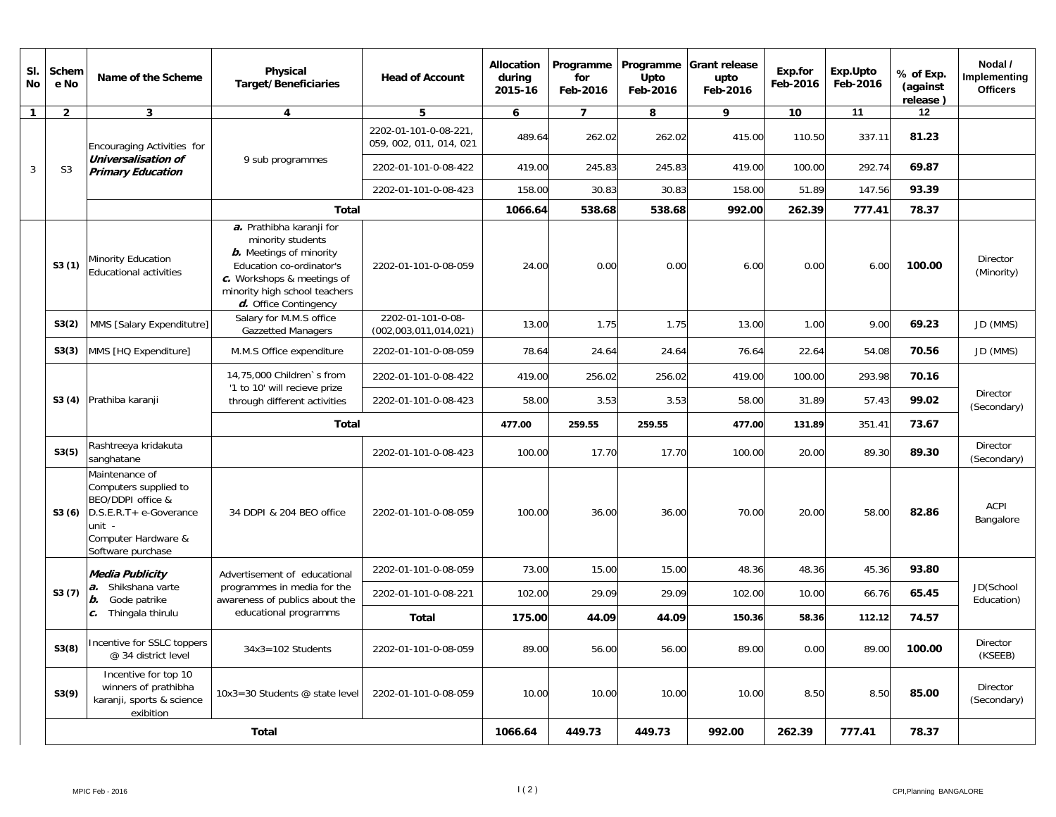| SI.<br><b>No</b> | Schem<br>e No  | Name of the Scheme                                                                                                                           | Physical<br><b>Target/Beneficiaries</b>                                                                                                                                                             | <b>Head of Account</b>                           | Allocation<br>during<br>2015-16 | Programme<br>for<br>Feb-2016 | Upto<br>Feb-2016 | Programme Grant release<br>upto<br>Feb-2016 | Exp.for<br>Feb-2016 | Exp.Upto<br>Feb-2016 | % of Exp.<br>(against<br>release) | Nodal /<br>Implementing<br><b>Officers</b> |
|------------------|----------------|----------------------------------------------------------------------------------------------------------------------------------------------|-----------------------------------------------------------------------------------------------------------------------------------------------------------------------------------------------------|--------------------------------------------------|---------------------------------|------------------------------|------------------|---------------------------------------------|---------------------|----------------------|-----------------------------------|--------------------------------------------|
| $\mathbf{1}$     | $\overline{2}$ | $\mathbf{3}$                                                                                                                                 | $\overline{4}$                                                                                                                                                                                      | 5                                                | 6                               | $\overline{7}$               | 8                | 9                                           | 10                  | 11                   | 12                                |                                            |
|                  |                | Encouraging Activities for                                                                                                                   |                                                                                                                                                                                                     | 2202-01-101-0-08-221,<br>059, 002, 011, 014, 021 | 489.64                          | 262.02                       | 262.02           | 415.00                                      | 110.50              | 337.11               | 81.23                             |                                            |
| 3                | S <sub>3</sub> | Universalisation of<br><b>Primary Education</b>                                                                                              | 9 sub programmes                                                                                                                                                                                    | 2202-01-101-0-08-422                             | 419.00                          | 245.83                       | 245.83           | 419.00                                      | 100.00              | 292.74               | 69.87                             |                                            |
|                  |                |                                                                                                                                              |                                                                                                                                                                                                     | 2202-01-101-0-08-423                             | 158.00                          | 30.83                        | 30.83            | 158.00                                      | 51.89               | 147.56               | 93.39                             |                                            |
|                  |                |                                                                                                                                              | <b>Total</b>                                                                                                                                                                                        |                                                  | 1066.64                         | 538.68                       | 538.68           | 992.00                                      | 262.39              | 777.41               | 78.37                             |                                            |
|                  | S3(1)          | Minority Education<br>Educational activities                                                                                                 | a. Prathibha karanji for<br>minority students<br><b>b.</b> Meetings of minority<br>Education co-ordinator's<br>c. Workshops & meetings of<br>minority high school teachers<br>d. Office Contingency | 2202-01-101-0-08-059                             | 24.00                           | 0.00                         | 0.00             | 6.00                                        | 0.00                | 6.00                 | 100.00                            | Director<br>(Minority)                     |
|                  | S3(2)          | MMS [Salary Expenditutre]                                                                                                                    | Salary for M.M.S office<br><b>Gazzetted Managers</b>                                                                                                                                                | 2202-01-101-0-08-<br>(002,003,011,014,021)       | 13.00                           | 1.75                         | 1.75             | 13.00                                       | 1.00                | 9.00                 | 69.23                             | JD (MMS)                                   |
|                  | S3(3)          | MMS [HQ Expenditure]                                                                                                                         | M.M.S Office expenditure                                                                                                                                                                            | 2202-01-101-0-08-059                             | 78.64                           | 24.64                        | 24.64            | 76.64                                       | 22.64               | 54.08                | 70.56                             | JD (MMS)                                   |
|                  |                |                                                                                                                                              | 14,75,000 Children's from<br>'1 to 10' will recieve prize                                                                                                                                           | 2202-01-101-0-08-422                             | 419.00                          | 256.02                       | 256.02           | 419.00                                      | 100.00              | 293.98               | 70.16                             |                                            |
|                  | S3 (4)         | Prathiba karanji                                                                                                                             | through different activities                                                                                                                                                                        | 2202-01-101-0-08-423                             | 58.00                           | 3.53                         | 3.53             | 58.00                                       | 31.89               | 57.43                | 99.02                             | Director<br>(Secondary)                    |
|                  |                |                                                                                                                                              | <b>Total</b>                                                                                                                                                                                        |                                                  | 477.00                          | 259.55                       | 259.55           | 477.00                                      | 131.89              | 351.41               | 73.67                             |                                            |
|                  | S3(5)          | Rashtreeya kridakuta<br>sanghatane                                                                                                           |                                                                                                                                                                                                     | 2202-01-101-0-08-423                             | 100.00                          | 17.70                        | 17.70            | 100.00                                      | 20.00               | 89.30                | 89.30                             | Director<br>(Secondary)                    |
|                  | S3(6)          | Maintenance of<br>Computers supplied to<br>BEO/DDPI office &<br>D.S.E.R.T+ e-Goverance<br>unit -<br>Computer Hardware &<br>Software purchase | 34 DDPI & 204 BEO office                                                                                                                                                                            | 2202-01-101-0-08-059                             | 100.00                          | 36.00                        | 36.00            | 70.00                                       | 20.00               | 58.00                | 82.86                             | ACPI<br>Bangalore                          |
|                  |                | Media Publicity                                                                                                                              | Advertisement of educational                                                                                                                                                                        | 2202-01-101-0-08-059                             | 73.00                           | 15.00                        | 15.00            | 48.36                                       | 48.36               | 45.36                | 93.80                             |                                            |
|                  | S3(7)          | a. Shikshana varte<br><b>b.</b> Gode patrike                                                                                                 | programmes in media for the<br>awareness of publics about the                                                                                                                                       | 2202-01-101-0-08-221                             | 102.00                          | 29.09                        | 29.09            | 102.00                                      | 10.00               | 66.76                | 65.45                             | JD(School<br>Education)                    |
|                  |                | c. Thingala thirulu                                                                                                                          | educational programms                                                                                                                                                                               | Total                                            | 175.00                          | 44.09                        | 44.09            | 150.36                                      | 58.36               | 112.12               | 74.57                             |                                            |
|                  | S3(8)          | Incentive for SSLC toppers<br>@ 34 district level                                                                                            | $34x3 = 102$ Students                                                                                                                                                                               | 2202-01-101-0-08-059                             | 89.00                           | 56.00                        | 56.00            | 89.00                                       | 0.00                | 89.00                | 100.00                            | <b>Director</b><br>(KSEEB)                 |
|                  | S3(9)          | Incentive for top 10<br>winners of prathibha<br>karanji, sports & science<br>exibition                                                       | 10x3=30 Students $@$ state level                                                                                                                                                                    | 2202-01-101-0-08-059                             | 10.00                           | 10.00                        | 10.00            | 10.00                                       | 8.50                | 8.50                 | 85.00                             | Director<br>(Secondary)                    |
|                  |                |                                                                                                                                              | <b>Total</b>                                                                                                                                                                                        |                                                  | 1066.64                         | 449.73                       | 449.73           | 992.00                                      | 262.39              | 777.41               | 78.37                             |                                            |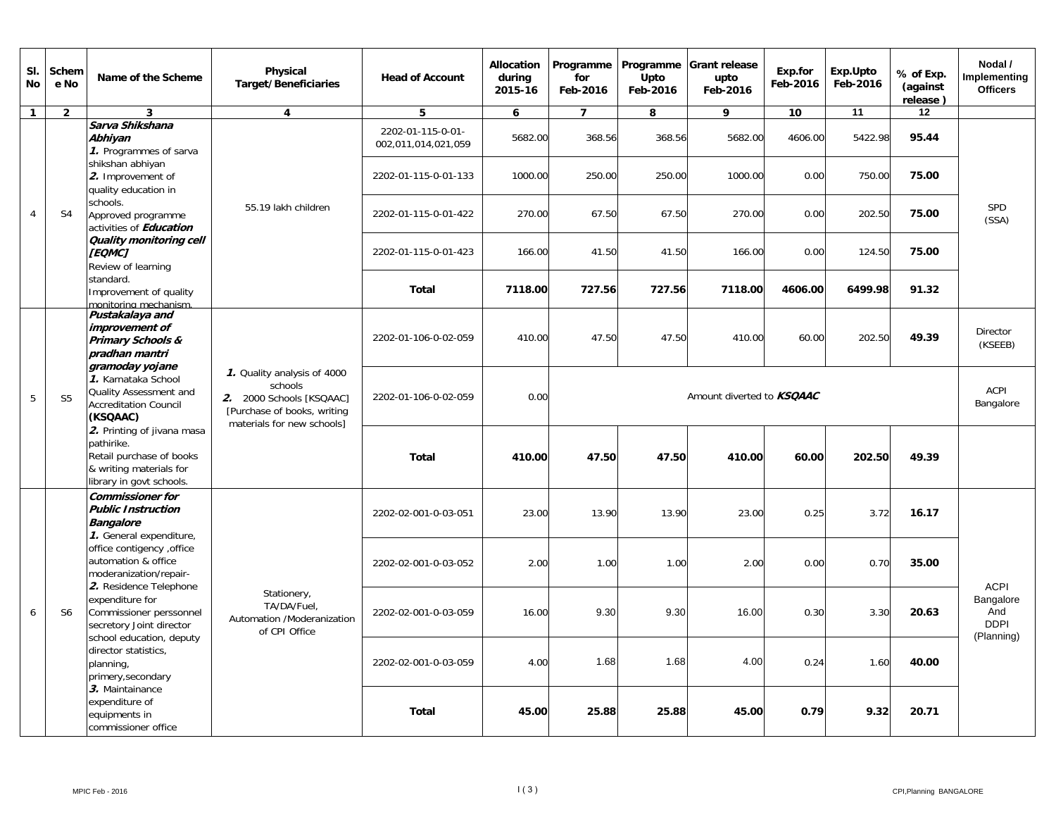| SI.<br>No      | Schem<br>e No                                                                                                                                                                                                                                                                                     | Name of the Scheme                                                                                                                                                                                                                                                                                                                                                                                                                                          | Physical<br><b>Target/Beneficiaries</b> | <b>Head of Account</b>                   | <b>Allocation</b><br>during<br>2015-16 | Programme<br>for<br>Feb-2016 | Programme<br>Upto<br>Feb-2016 | <b>Grant release</b><br>upto<br>Feb-2016 | Exp.for<br>Feb-2016        | Exp.Upto<br>Feb-2016 | % of Exp.<br>(against<br>release)             | Nodal /<br>Implementing<br><b>Officers</b> |  |
|----------------|---------------------------------------------------------------------------------------------------------------------------------------------------------------------------------------------------------------------------------------------------------------------------------------------------|-------------------------------------------------------------------------------------------------------------------------------------------------------------------------------------------------------------------------------------------------------------------------------------------------------------------------------------------------------------------------------------------------------------------------------------------------------------|-----------------------------------------|------------------------------------------|----------------------------------------|------------------------------|-------------------------------|------------------------------------------|----------------------------|----------------------|-----------------------------------------------|--------------------------------------------|--|
| $\mathbf{1}$   | $\overline{2}$                                                                                                                                                                                                                                                                                    | $\mathbf{3}$                                                                                                                                                                                                                                                                                                                                                                                                                                                | $\overline{\mathbf{4}}$                 | 5                                        | 6                                      | $\overline{7}$               | 8                             | 9                                        | 10                         | 11                   | 12                                            |                                            |  |
|                |                                                                                                                                                                                                                                                                                                   | Sarva Shikshana<br>Abhiyan<br>1. Programmes of sarva                                                                                                                                                                                                                                                                                                                                                                                                        |                                         | 2202-01-115-0-01-<br>002,011,014,021,059 | 5682.00                                | 368.56                       | 368.56                        | 5682.00                                  | 4606.00                    | 5422.98              | 95.44                                         |                                            |  |
|                |                                                                                                                                                                                                                                                                                                   | shikshan abhiyan<br>2. Improvement of<br>quality education in                                                                                                                                                                                                                                                                                                                                                                                               | 55.19 lakh children                     | 2202-01-115-0-01-133                     | 1000.00                                | 250.00                       | 250.00                        | 1000.00                                  | 0.00                       | 750.00               | 75.00                                         |                                            |  |
| $\overline{4}$ | S <sub>4</sub>                                                                                                                                                                                                                                                                                    | schools.<br>Approved programme<br>activities of <b>Education</b>                                                                                                                                                                                                                                                                                                                                                                                            |                                         | 2202-01-115-0-01-422                     | 270.00                                 | 67.50                        | 67.50                         | 270.00                                   | 0.00                       | 202.50               | 75.00                                         | <b>SPD</b><br>(SSA)                        |  |
|                |                                                                                                                                                                                                                                                                                                   | Quality monitoring cell<br><b>[EQMC]</b><br>Review of learning                                                                                                                                                                                                                                                                                                                                                                                              |                                         | 2202-01-115-0-01-423                     | 166.00                                 | 41.50                        | 41.50                         | 166.00                                   | 0.00                       | 124.50               | 75.00                                         |                                            |  |
|                |                                                                                                                                                                                                                                                                                                   | standard.<br>Improvement of quality<br>monitoring mechanism.                                                                                                                                                                                                                                                                                                                                                                                                |                                         | <b>Total</b>                             | 7118.00                                | 727.56                       | 727.56                        | 7118.00                                  | 4606.00                    | 6499.98              | 91.32                                         |                                            |  |
|                | Pustakalaya and<br>improvement of<br>2202-01-106-0-02-059<br>Primary Schools &<br>pradhan mantri                                                                                                                                                                                                  | 410.00                                                                                                                                                                                                                                                                                                                                                                                                                                                      | 47.50                                   | 47.50                                    | 410.00                                 | 60.00                        | 202.50                        | 49.39                                    | <b>Director</b><br>(KSEEB) |                      |                                               |                                            |  |
| 5              | gramoday yojane<br>1. Quality analysis of 4000<br>1. Karnataka School<br>schools<br>Quality Assessment and<br>0.00<br>2202-01-106-0-02-059<br>S <sub>5</sub><br>2. 2000 Schools [KSQAAC]<br><b>Accreditation Council</b><br>[Purchase of books, writing<br>(KSQAAC)<br>materials for new schools] | Amount diverted to <b>KSQAAC</b>                                                                                                                                                                                                                                                                                                                                                                                                                            |                                         |                                          |                                        |                              |                               |                                          |                            |                      |                                               |                                            |  |
|                |                                                                                                                                                                                                                                                                                                   | 2. Printing of jivana masa<br>pathirike.<br>Retail purchase of books<br>& writing materials for<br>library in govt schools.                                                                                                                                                                                                                                                                                                                                 |                                         | <b>Total</b>                             | 410.00                                 | 47.50                        | 47.50                         | 410.00                                   | 60.00                      | 202.50               | 49.39                                         |                                            |  |
|                |                                                                                                                                                                                                                                                                                                   | <b>Commissioner for</b><br><b>Public Instruction</b><br><b>Bangalore</b>                                                                                                                                                                                                                                                                                                                                                                                    |                                         | 2202-02-001-0-03-051                     | 23.00                                  | 13.90                        | 13.90                         | 23.00                                    | 0.25                       | 3.72                 | 16.17                                         |                                            |  |
|                |                                                                                                                                                                                                                                                                                                   | 1. General expenditure,<br>office contigency , office<br>automation & office<br>moderanization/repair-<br>2. Residence Telephone<br>Stationery,<br>expenditure for<br>TA/DA/Fuel.<br>Commissioner perssonnel<br>Automation /Moderanization<br>secretory Joint director<br>of CPI Office<br>school education, deputy<br>director statistics,<br>planning,<br>primery, secondary<br>3. Maintainance<br>expenditure of<br>equipments in<br>commissioner office |                                         | 2202-02-001-0-03-052                     | 2.00                                   | 1.00                         | 1.00                          | 2.00                                     | 0.00                       | 0.70                 | 35.00                                         | <b>ACPI</b>                                |  |
| 6              | S <sub>6</sub>                                                                                                                                                                                                                                                                                    |                                                                                                                                                                                                                                                                                                                                                                                                                                                             | 2202-02-001-0-03-059                    | 16.00                                    | 9.30                                   | 9.30                         | 16.00                         | 0.30                                     | 3.30                       | 20.63                | Bangalore<br>And<br><b>DDPI</b><br>(Planning) |                                            |  |
|                |                                                                                                                                                                                                                                                                                                   |                                                                                                                                                                                                                                                                                                                                                                                                                                                             |                                         |                                          | 2202-02-001-0-03-059                   | 4.00                         | 1.68                          | 1.68                                     | 4.00                       | 0.24                 | 1.60                                          | 40.00                                      |  |
|                |                                                                                                                                                                                                                                                                                                   |                                                                                                                                                                                                                                                                                                                                                                                                                                                             |                                         | <b>Total</b>                             | 45.00                                  | 25.88                        | 25.88                         | 45.00                                    | 0.79                       | 9.32                 | 20.71                                         |                                            |  |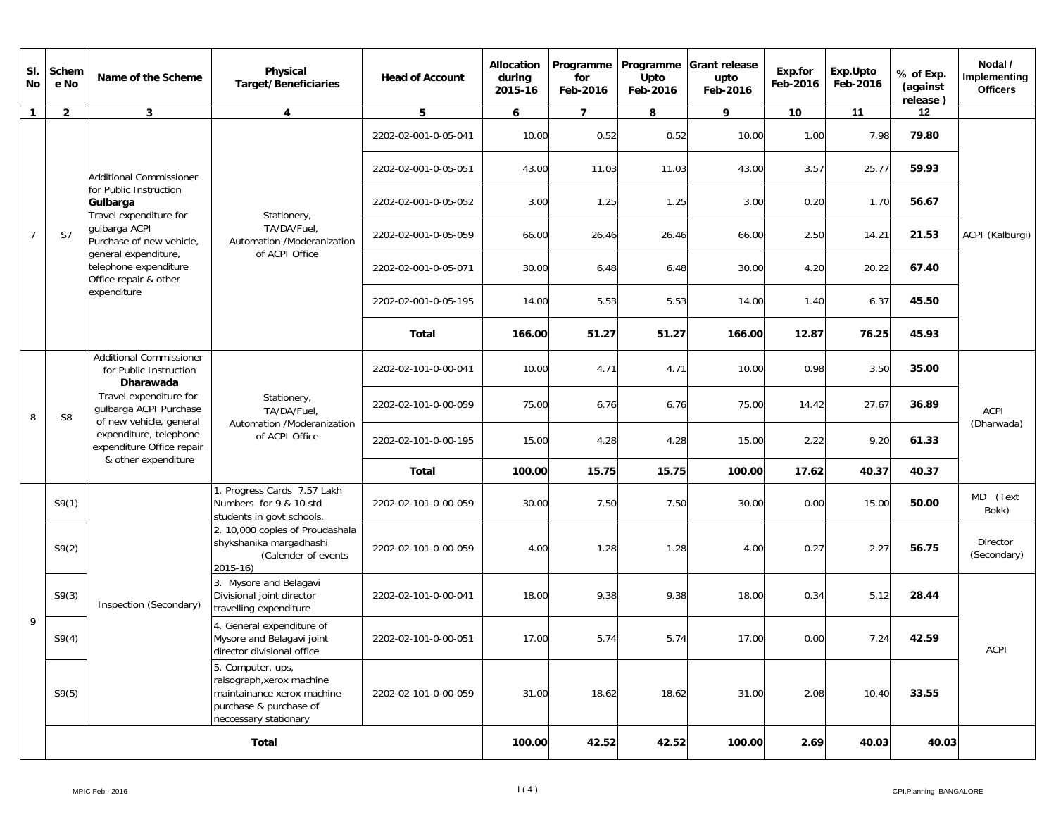| SI.<br>No      | Schem<br>e No  | Name of the Scheme                                                                                                                 | Physical<br><b>Target/Beneficiaries</b>                                                                                         | <b>Head of Account</b> | <b>Allocation</b><br>during<br>2015-16 | Programme<br>for<br>Feb-2016 | Programme<br>Upto<br>Feb-2016 | <b>Grant release</b><br>upto<br>Feb-2016 | Exp.for<br>Feb-2016 | Exp.Upto<br>Feb-2016 | % of Exp.<br>(against<br>release) | Nodal /<br>Implementing<br><b>Officers</b> |
|----------------|----------------|------------------------------------------------------------------------------------------------------------------------------------|---------------------------------------------------------------------------------------------------------------------------------|------------------------|----------------------------------------|------------------------------|-------------------------------|------------------------------------------|---------------------|----------------------|-----------------------------------|--------------------------------------------|
| $\mathbf{1}$   | $\overline{2}$ | $\mathbf{3}$                                                                                                                       | 4                                                                                                                               | 5                      | 6                                      | $\overline{7}$               | 8                             | 9                                        | 10                  | 11                   | 12                                |                                            |
|                |                |                                                                                                                                    |                                                                                                                                 | 2202-02-001-0-05-041   | 10.00                                  | 0.52                         | 0.52                          | 10.00                                    | 1.00                | 7.98                 | 79.80                             |                                            |
|                |                | <b>Additional Commissioner</b>                                                                                                     |                                                                                                                                 | 2202-02-001-0-05-051   | 43.00                                  | 11.03                        | 11.03                         | 43.00                                    | 3.57                | 25.77                | 59.93                             |                                            |
|                |                | for Public Instruction<br>Gulbarga<br>Travel expenditure for                                                                       | Stationery,                                                                                                                     | 2202-02-001-0-05-052   | 3.00                                   | 1.25                         | 1.25                          | 3.00                                     | 0.20                | 1.70                 | 56.67                             |                                            |
| $\overline{7}$ | S7             | gulbarga ACPI<br>Purchase of new vehicle,<br>general expenditure,<br>telephone expenditure<br>Office repair & other                | TA/DA/Fuel,<br>Automation /Moderanization<br>of ACPI Office                                                                     | 2202-02-001-0-05-059   | 66.00                                  | 26.46                        | 26.46                         | 66.00                                    | 2.50                | 14.21                | 21.53                             | ACPI (Kalburgi)                            |
|                |                |                                                                                                                                    |                                                                                                                                 | 2202-02-001-0-05-071   | 30.00                                  | 6.48                         | 6.48                          | 30.00                                    | 4.20                | 20.22                | 67.40                             |                                            |
|                |                | expenditure                                                                                                                        |                                                                                                                                 | 2202-02-001-0-05-195   | 14.00                                  | 5.53                         | 5.53                          | 14.00                                    | 1.40                | 6.37                 | 45.50                             |                                            |
|                |                |                                                                                                                                    |                                                                                                                                 | <b>Total</b>           | 166.00                                 | 51.27                        | 51.27                         | 166.00                                   | 12.87               | 76.25                | 45.93                             |                                            |
|                | S <sub>8</sub> | <b>Additional Commissioner</b><br>for Public Instruction<br>Dharawada                                                              |                                                                                                                                 | 2202-02-101-0-00-041   | 10.00                                  | 4.71                         | 4.71                          | 10.00                                    | 0.98                | 3.50                 | 35.00                             |                                            |
| 8              |                | Travel expenditure for<br>gulbarga ACPI Purchase<br>of new vehicle, general<br>expenditure, telephone<br>expenditure Office repair | Stationery,<br>TA/DA/Fuel,<br>Automation /Moderanization<br>of ACPI Office                                                      | 2202-02-101-0-00-059   | 75.00                                  | 6.76                         | 6.76                          | 75.00                                    | 14.42               | 27.67                | 36.89                             | <b>ACPI</b>                                |
|                |                |                                                                                                                                    |                                                                                                                                 | 2202-02-101-0-00-195   | 15.00                                  | 4.28                         | 4.28                          | 15.00                                    | 2.22                | 9.20                 | 61.33                             | (Dharwada)                                 |
|                |                | & other expenditure                                                                                                                |                                                                                                                                 | Total                  | 100.00                                 | 15.75                        | 15.75                         | 100.00                                   | 17.62               | 40.37                | 40.37                             |                                            |
|                | S9(1)          |                                                                                                                                    | 1. Progress Cards 7.57 Lakh<br>Numbers for 9 & 10 std<br>students in govt schools.                                              | 2202-02-101-0-00-059   | 30.00                                  | 7.50                         | 7.50                          | 30.00                                    | 0.00                | 15.00                | 50.00                             | MD (Text<br>Bokk)                          |
|                | S9(2)          |                                                                                                                                    | 2. 10,000 copies of Proudashala<br>shykshanika margadhashi<br>(Calender of events<br>$2015 - 16$                                | 2202-02-101-0-00-059   | 4.00                                   | 1.28                         | 1.28                          | 4.00                                     | 0.27                | 2.27                 | 56.75                             | <b>Director</b><br>(Secondary)             |
|                | S9(3)          | Inspection (Secondary)                                                                                                             | 3. Mysore and Belagavi<br>Divisional joint director<br>travelling expenditure                                                   | 2202-02-101-0-00-041   | 18.00                                  | 9.38                         | 9.38                          | 18.00                                    | 0.34                | 5.12                 | 28.44                             |                                            |
| 9              | S9(4)          |                                                                                                                                    | 4. General expenditure of<br>Mysore and Belagavi joint<br>director divisional office                                            | 2202-02-101-0-00-051   | 17.00                                  | 5.74                         | 5.74                          | 17.00                                    | 0.00                | 7.24                 | 42.59                             | ACPI                                       |
|                | S9(5)          |                                                                                                                                    | 5. Computer, ups,<br>raisograph, xerox machine<br>maintainance xerox machine<br>purchase & purchase of<br>neccessary stationary | 2202-02-101-0-00-059   | 31.00                                  | 18.62                        | 18.62                         | 31.00                                    | 2.08                | 10.40                | 33.55                             |                                            |
|                |                |                                                                                                                                    | <b>Total</b>                                                                                                                    |                        | 100.00                                 | 42.52                        | 42.52                         | 100.00                                   | 2.69                | 40.03                | 40.03                             |                                            |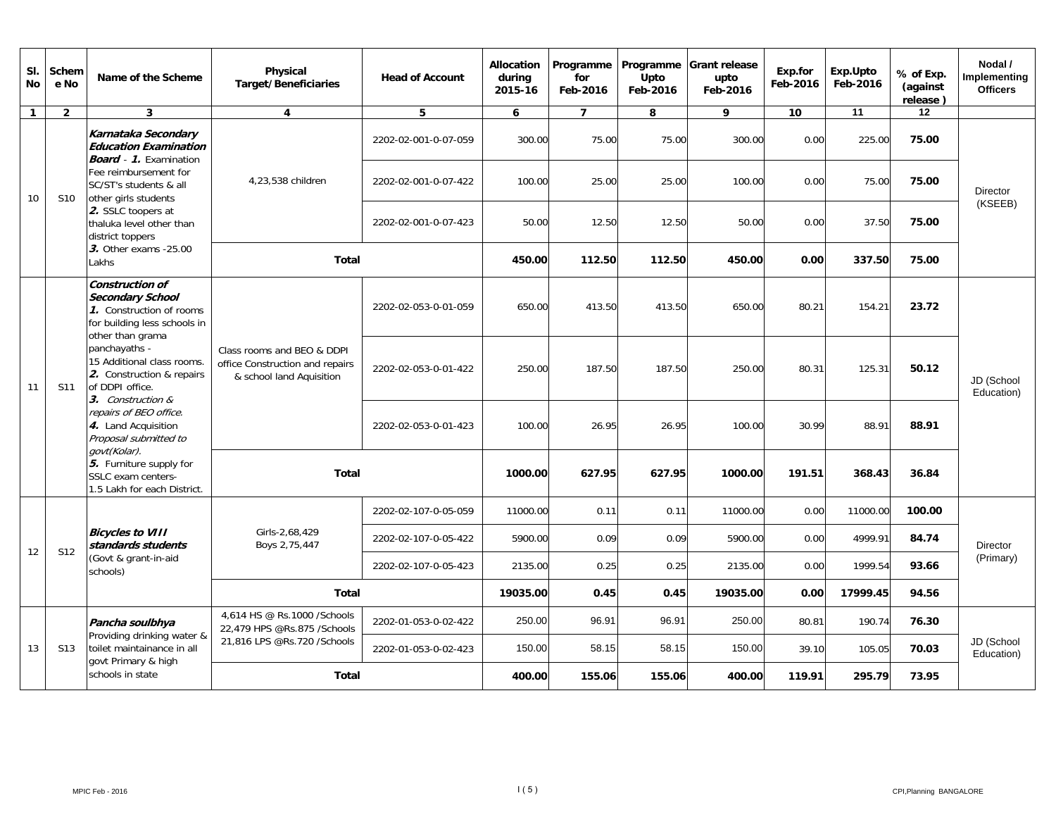| SI.<br><b>No</b> | Schem<br>e No   | Name of the Scheme                                                                                                                                                                                                                                                                                                                                                                                                              | Physical<br><b>Target/Beneficiaries</b>                     | <b>Head of Account</b>                                                                    | Allocation<br>durina<br>2015-16 | Programme<br>for<br>Feb-2016 | Programme<br>Upto<br>Feb-2016 | <b>Grant release</b><br>upto<br>Feb-2016 | Exp.for<br>Feb-2016 | Exp.Upto<br>Feb-2016 | % of Exp.<br>(against<br>release) | Nodal /<br>Implementing<br><b>Officers</b> |                          |
|------------------|-----------------|---------------------------------------------------------------------------------------------------------------------------------------------------------------------------------------------------------------------------------------------------------------------------------------------------------------------------------------------------------------------------------------------------------------------------------|-------------------------------------------------------------|-------------------------------------------------------------------------------------------|---------------------------------|------------------------------|-------------------------------|------------------------------------------|---------------------|----------------------|-----------------------------------|--------------------------------------------|--------------------------|
| $\mathbf{1}$     | $\overline{2}$  | $\mathbf{3}$                                                                                                                                                                                                                                                                                                                                                                                                                    | $\overline{\mathbf{4}}$                                     | 5                                                                                         | 6                               | $\overline{7}$               | 8                             | 9                                        | 10                  | 11                   | 12                                |                                            |                          |
|                  |                 | Karnataka Secondary<br><b>Education Examination</b><br><b>Board</b> - 1. Examination                                                                                                                                                                                                                                                                                                                                            |                                                             | 2202-02-001-0-07-059                                                                      | 300.00                          | 75.00                        | 75.00                         | 300.00                                   | 0.00                | 225.00               | 75.00                             |                                            |                          |
| 10               | S <sub>10</sub> | Fee reimbursement for<br>SC/ST's students & all<br>other girls students<br>2. SSLC toopers at<br>thaluka level other than<br>district toppers                                                                                                                                                                                                                                                                                   | 4,23,538 children                                           | 2202-02-001-0-07-422                                                                      | 100.00                          | 25.00                        | 25.00                         | 100.00                                   | 0.00                | 75.00                | 75.00                             | <b>Director</b>                            |                          |
|                  |                 |                                                                                                                                                                                                                                                                                                                                                                                                                                 |                                                             | 2202-02-001-0-07-423                                                                      | 50.00                           | 12.50                        | 12.50                         | 50.00                                    | 0.00                | 37.50                | 75.00                             | (KSEEB)                                    |                          |
|                  |                 | 3. Other exams -25.00<br>Lakhs                                                                                                                                                                                                                                                                                                                                                                                                  | <b>Total</b>                                                |                                                                                           | 450.00                          | 112.50                       | 112.50                        | 450.00                                   | 0.00                | 337.50               | 75.00                             |                                            |                          |
|                  |                 | <b>Construction of</b><br><b>Secondary School</b><br>1. Construction of rooms<br>for building less schools in<br>other than grama<br>panchayaths -<br>15 Additional class rooms.<br>2. Construction & repairs<br>of DDPI office.<br>3. Construction &<br>repairs of BEO office.<br>4. Land Acquisition<br>Proposal submitted to<br>govt(Kolar).<br>5. Furniture supply for<br>SSLC exam centers-<br>1.5 Lakh for each District. | S11                                                         |                                                                                           | 2202-02-053-0-01-059            | 650.00                       | 413.50                        | 413.50                                   | 650.00              | 80.21                | 154.21                            | 23.72                                      |                          |
| 11               |                 |                                                                                                                                                                                                                                                                                                                                                                                                                                 |                                                             | Class rooms and BEO & DDPI<br>office Construction and repairs<br>& school land Aquisition | 2202-02-053-0-01-422            | 250.00                       | 187.50                        | 187.50                                   | 250.00              | 80.31                | 125.31                            | 50.12                                      | JD (School<br>Education) |
|                  |                 |                                                                                                                                                                                                                                                                                                                                                                                                                                 |                                                             | 2202-02-053-0-01-423                                                                      | 100.00                          | 26.95                        | 26.95                         | 100.00                                   | 30.99               | 88.91                | 88.91                             |                                            |                          |
|                  |                 |                                                                                                                                                                                                                                                                                                                                                                                                                                 | <b>Total</b>                                                |                                                                                           | 1000.00                         | 627.95                       | 627.95                        | 1000.00                                  | 191.51              | 368.43               | 36.84                             |                                            |                          |
|                  |                 |                                                                                                                                                                                                                                                                                                                                                                                                                                 |                                                             | 2202-02-107-0-05-059                                                                      | 11000.00                        | 0.11                         | 0.11                          | 11000.00                                 | 0.00                | 11000.00             | 100.00                            |                                            |                          |
| 12               | S <sub>12</sub> | <b>Bicycles to VIII</b><br>standards students                                                                                                                                                                                                                                                                                                                                                                                   | Girls-2,68,429<br>Boys 2,75,447                             | 2202-02-107-0-05-422                                                                      | 5900.00                         | 0.09                         | 0.09                          | 5900.00                                  | 0.00                | 4999.91              | 84.74                             | Director                                   |                          |
|                  |                 | (Govt & grant-in-aid<br>schools)                                                                                                                                                                                                                                                                                                                                                                                                |                                                             | 2202-02-107-0-05-423                                                                      | 2135.00                         | 0.25                         | 0.25                          | 2135.00                                  | 0.00                | 1999.54              | 93.66                             | (Primary)                                  |                          |
|                  |                 |                                                                                                                                                                                                                                                                                                                                                                                                                                 | <b>Total</b>                                                |                                                                                           | 19035.00                        | 0.45                         | 0.45                          | 19035.00                                 | 0.00                | 17999.45             | 94.56                             |                                            |                          |
|                  |                 | Pancha soulbhya                                                                                                                                                                                                                                                                                                                                                                                                                 | 4.614 HS @ Rs.1000 / Schools<br>22,479 HPS @Rs.875 /Schools | 2202-01-053-0-02-422                                                                      | 250.00                          | 96.91                        | 96.91                         | 250.00                                   | 80.81               | 190.74               | 76.30                             |                                            |                          |
| 13               | S <sub>13</sub> | Providing drinking water &<br>toilet maintainance in all<br>govt Primary & high<br>schools in state                                                                                                                                                                                                                                                                                                                             | 21,816 LPS @Rs.720 /Schools                                 | 2202-01-053-0-02-423                                                                      | 150.00                          | 58.15                        | 58.15                         | 150.00                                   | 39.10               | 105.05               | 70.03                             | JD (School<br>Education)                   |                          |
|                  |                 |                                                                                                                                                                                                                                                                                                                                                                                                                                 |                                                             | Total                                                                                     |                                 | 400.00                       | 155.06                        | 155.06                                   | 400.00              | 119.91               | 295.79                            | 73.95                                      |                          |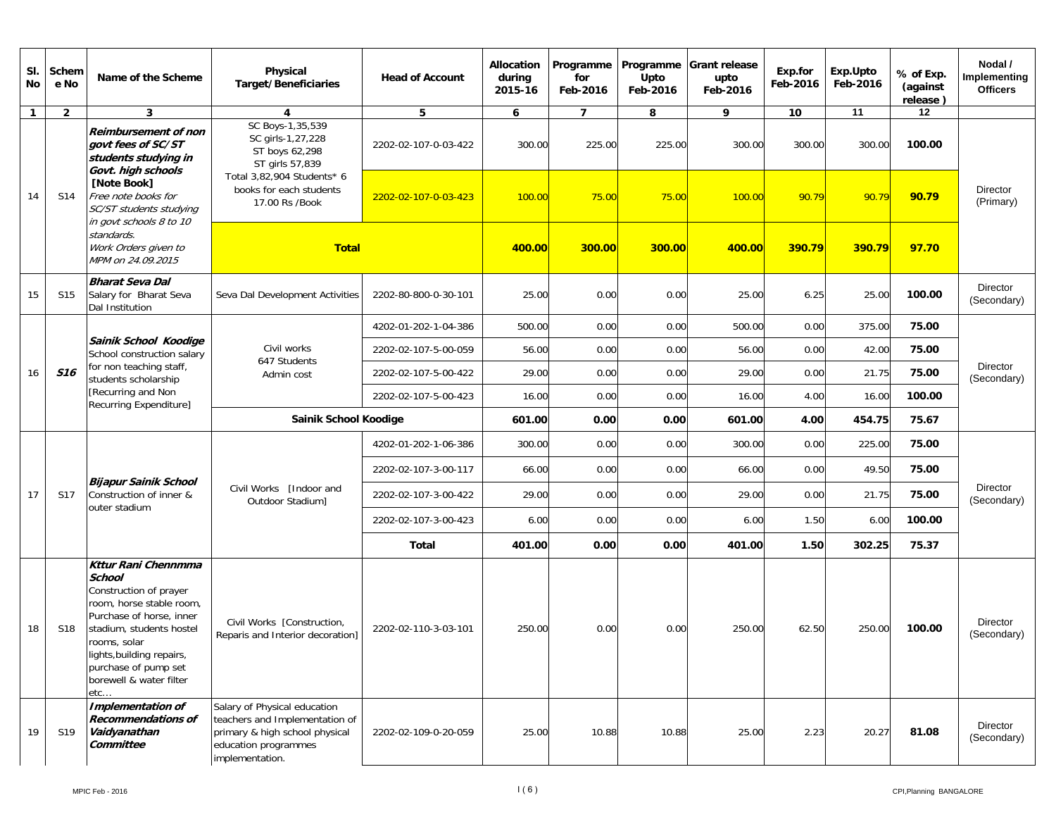| SI.<br>No    | Schem<br>e No   | Name of the Scheme                                                                                                                                                                                                                                        | Physical<br><b>Target/Beneficiaries</b>                                                                                                                                                         | <b>Head of Account</b> | Allocation<br>during<br>2015-16 | Programme<br>for<br>Feb-2016 | Programme<br>Upto<br>Feb-2016 | <b>Grant release</b><br>upto<br>Feb-2016 | Exp.for<br>Feb-2016 | Exp.Upto<br>Feb-2016                                                                                                                                                                                                                           | % of Exp.<br>(against<br>release) | Nodal /<br>Implementing<br><b>Officers</b> |
|--------------|-----------------|-----------------------------------------------------------------------------------------------------------------------------------------------------------------------------------------------------------------------------------------------------------|-------------------------------------------------------------------------------------------------------------------------------------------------------------------------------------------------|------------------------|---------------------------------|------------------------------|-------------------------------|------------------------------------------|---------------------|------------------------------------------------------------------------------------------------------------------------------------------------------------------------------------------------------------------------------------------------|-----------------------------------|--------------------------------------------|
| $\mathbf{1}$ | $\overline{2}$  | 3                                                                                                                                                                                                                                                         | 4                                                                                                                                                                                               | 5                      | 6                               | $\overline{7}$               | 8                             | 9                                        | 10                  | 11                                                                                                                                                                                                                                             | 12                                |                                            |
|              |                 | <b>Reimbursement of non</b><br>aovt fees of SC/ST<br>students studying in<br>Govt. high schools                                                                                                                                                           | SC Boys-1,35,539<br>SC girls-1,27,228<br>ST boys 62,298<br>ST girls 57,839                                                                                                                      | 2202-02-107-0-03-422   | 300.00                          | 225.00                       | 225.00                        | 300.00                                   | 300.00              | 300.00                                                                                                                                                                                                                                         | 100.00                            |                                            |
| 14           | S14             | [Note Book]<br>Free note books for<br>SC/ST students studying<br>in govt schools 8 to 10                                                                                                                                                                  | Total 3,82,904 Students* 6<br>books for each students<br>17.00 Rs /Book                                                                                                                         | 2202-02-107-0-03-423   | 100.00                          | 75.00                        | 75.00                         | 100.00                                   | 90.79               | 90.79                                                                                                                                                                                                                                          | 90.79                             | <b>Director</b><br>(Primary)               |
|              |                 | standards.<br>Work Orders given to<br>MPM on 24.09.2015                                                                                                                                                                                                   | <b>Total</b>                                                                                                                                                                                    |                        | 400.00                          | 300.00                       | 300.00                        | 400.00                                   | 390.79              |                                                                                                                                                                                                                                                | 97.70                             |                                            |
| 15           | S15             | <b>Bharat Seva Dal</b><br>Salary for Bharat Seva<br>Dal Institution                                                                                                                                                                                       | Seva Dal Development Activities                                                                                                                                                                 | 2202-80-800-0-30-101   | 25.00                           | 0.00                         | 0.00                          | 25.00                                    | 6.25                |                                                                                                                                                                                                                                                | 100.00                            | Director<br>(Secondary)                    |
|              |                 |                                                                                                                                                                                                                                                           |                                                                                                                                                                                                 | 4202-01-202-1-04-386   | 500.00                          | 0.00                         | 0.00                          | 500.00                                   | 0.00                |                                                                                                                                                                                                                                                | 75.00                             |                                            |
|              |                 | Sainik School Koodige<br>School construction salary                                                                                                                                                                                                       | Civil works                                                                                                                                                                                     | 2202-02-107-5-00-059   | 56.00                           | 0.00                         | 0.00                          | 56.00                                    | 0.00                |                                                                                                                                                                                                                                                | 75.00                             |                                            |
| 16           | <b>S16</b>      | for non teaching staff,<br>students scholarship                                                                                                                                                                                                           | Admin cost                                                                                                                                                                                      | 2202-02-107-5-00-422   | 29.00                           | 0.00                         | 0.00                          | 29.00                                    | 0.00                | 390.79<br>25.00<br>375.00<br>42.00<br>21.75<br>75.00<br>4.00<br>16.00<br>100.00<br>4.00<br>454.75<br>75.67<br>225.00<br>75.00<br>0.00<br>0.00<br>49.50<br>75.00<br>21.75<br>0.00<br>75.00<br>6.00<br>100.00<br>1.50<br>302.25<br>1.50<br>75.37 | Director<br>(Secondary)           |                                            |
|              |                 | [Recurring and Non<br>Recurring Expenditure]                                                                                                                                                                                                              | 647 Students<br>2202-02-107-5-00-423<br>0.00<br>0.00<br>16.00<br>16.00<br>Sainik School Koodige<br>601.00<br>0.00<br>0.00<br>601.00<br>4202-01-202-1-06-386<br>300.00<br>0.00<br>300.00<br>0.00 |                        |                                 |                              |                               |                                          |                     |                                                                                                                                                                                                                                                |                                   |                                            |
|              |                 |                                                                                                                                                                                                                                                           |                                                                                                                                                                                                 |                        |                                 |                              |                               |                                          |                     |                                                                                                                                                                                                                                                |                                   |                                            |
|              |                 |                                                                                                                                                                                                                                                           |                                                                                                                                                                                                 |                        |                                 |                              |                               |                                          |                     |                                                                                                                                                                                                                                                |                                   |                                            |
|              |                 |                                                                                                                                                                                                                                                           |                                                                                                                                                                                                 | 2202-02-107-3-00-117   | 66.00                           | 0.00                         | 0.00                          | 66.00                                    |                     |                                                                                                                                                                                                                                                |                                   | <b>Director</b><br>(Secondary)             |
| 17           | S17             | <b>Bijapur Sainik School</b><br>Construction of inner &                                                                                                                                                                                                   | Civil Works [Indoor and<br>Outdoor Stadium]                                                                                                                                                     | 2202-02-107-3-00-422   | 29.00                           | 0.00                         | 0.00                          | 29.00                                    |                     |                                                                                                                                                                                                                                                |                                   |                                            |
|              |                 | outer stadium                                                                                                                                                                                                                                             |                                                                                                                                                                                                 | 2202-02-107-3-00-423   | 6.00                            | 0.00                         | 0.00                          | 6.00                                     |                     |                                                                                                                                                                                                                                                |                                   |                                            |
|              |                 |                                                                                                                                                                                                                                                           |                                                                                                                                                                                                 | <b>Total</b>           | 401.00                          | 0.00                         | 0.00                          | 401.00                                   |                     |                                                                                                                                                                                                                                                |                                   |                                            |
| 18           | S <sub>18</sub> | Kttur Rani Chennmma<br><b>School</b><br>Construction of prayer<br>room, horse stable room,<br>Purchase of horse, inner<br>stadium, students hostel<br>rooms, solar<br>lights, building repairs,<br>purchase of pump set<br>borewell & water filter<br>etc | Civil Works [Construction,<br>Reparis and Interior decoration]                                                                                                                                  | 2202-02-110-3-03-101   | 250.00                          | 0.00                         | 0.00                          | 250.00                                   | 62.50               | 250.00                                                                                                                                                                                                                                         | 100.00                            | Director<br>(Secondary)                    |
| 19           | S19             | <b>Implementation of</b><br><b>Recommendations of</b><br>Vaidyanathan<br>Committee                                                                                                                                                                        | Salary of Physical education<br>teachers and Implementation of<br>primary & high school physical<br>education programmes<br>implementation.                                                     | 2202-02-109-0-20-059   | 25.00                           | 10.88                        | 10.88                         | 25.00                                    | 2.23                | 20.27                                                                                                                                                                                                                                          | 81.08                             | Director<br>(Secondary)                    |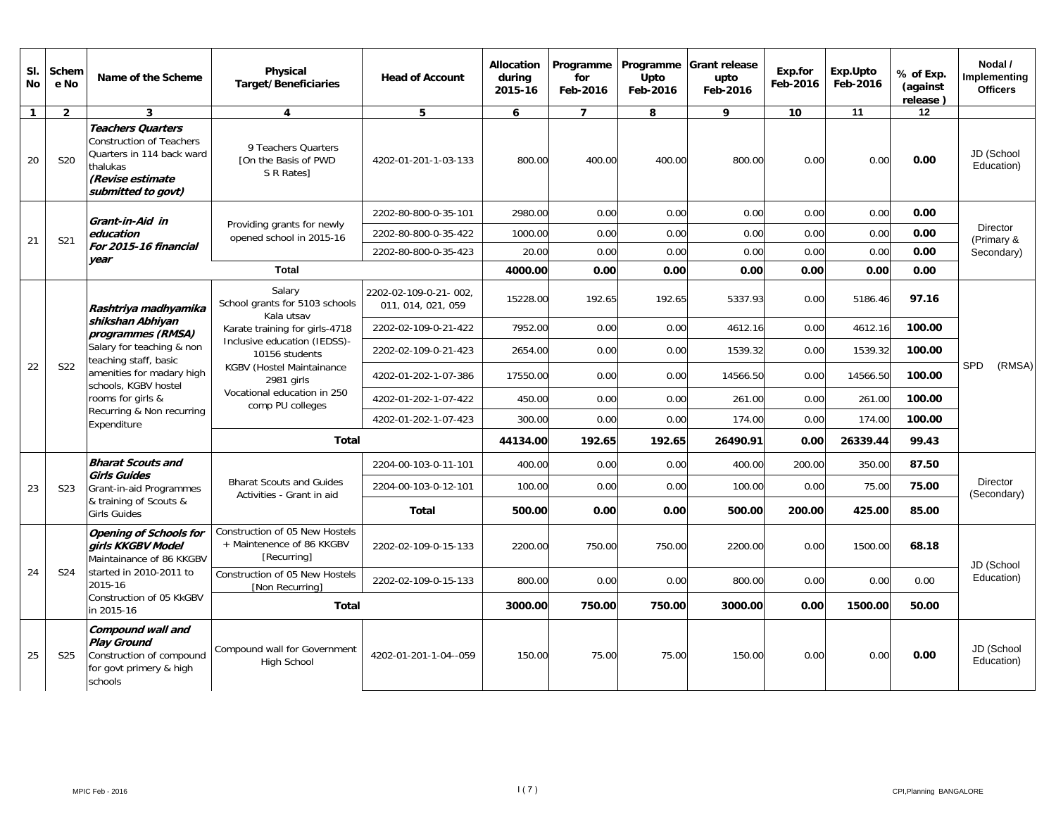| SI.<br><b>No</b> | Schem<br>e No    | Name of the Scheme                                                                                                                             | <b>Physical</b><br><b>Target/Beneficiaries</b>                                                                               | <b>Head of Account</b>                      | <b>Allocation</b><br>during<br>2015-16 | Programme<br>for<br>Feb-2016 | Programme<br>Upto<br>Feb-2016 | <b>Grant release</b><br>upto<br>Feb-2016 | Exp.for<br>Feb-2016 | Exp.Upto<br>Feb-2016 | % of Exp.<br>(against<br>release) | Nodal /<br>Implementing<br><b>Officers</b> |
|------------------|------------------|------------------------------------------------------------------------------------------------------------------------------------------------|------------------------------------------------------------------------------------------------------------------------------|---------------------------------------------|----------------------------------------|------------------------------|-------------------------------|------------------------------------------|---------------------|----------------------|-----------------------------------|--------------------------------------------|
| $\mathbf{1}$     | $\overline{2}$   | $\overline{\mathbf{3}}$                                                                                                                        | $\overline{4}$                                                                                                               | 5                                           | 6                                      | $\overline{7}$               | 8                             | 9                                        | 10                  | 11                   | 12                                |                                            |
| 20               | <b>S20</b>       | <b>Teachers Quarters</b><br><b>Construction of Teachers</b><br>Quarters in 114 back ward<br>thalukas<br>(Revise estimate<br>submitted to govt) | 9 Teachers Quarters<br>[On the Basis of PWD<br>S R Rates                                                                     | 4202-01-201-1-03-133                        | 800.00                                 | 400.00                       | 400.00                        | 800.00                                   | 0.00                | 0.00                 | 0.00                              | JD (School<br>Education)                   |
|                  |                  | Grant-in-Aid in                                                                                                                                |                                                                                                                              | 2202-80-800-0-35-101                        | 2980.00                                | 0.00                         | 0.00                          | 0.00                                     | 0.00                | 0.00                 | 0.00                              |                                            |
| 21               | S21              | education                                                                                                                                      | Providing grants for newly<br>opened school in 2015-16                                                                       | 2202-80-800-0-35-422                        | 1000.00                                | 0.00                         | 0.00                          | 0.00                                     | 0.00                | 0.00                 | 0.00                              | <b>Director</b><br>(Primary &              |
|                  |                  | For 2015-16 financial<br>vear                                                                                                                  |                                                                                                                              | 2202-80-800-0-35-423                        | 20.00                                  | 0.00                         | 0.00                          | 0.00                                     | 0.00                | 0.00                 | 0.00                              | Secondary)                                 |
|                  |                  |                                                                                                                                                | Total                                                                                                                        |                                             | 4000.00                                | 0.00                         | 0.00                          | 0.00                                     | 0.00                | 0.00                 | 0.00                              |                                            |
|                  |                  | Rashtriya madhyamika                                                                                                                           | Salary<br>School grants for 5103 schools<br>Kala utsav                                                                       | 2202-02-109-0-21-002,<br>011, 014, 021, 059 | 15228.00                               | 192.65                       | 192.65                        | 5337.93                                  | 0.00                | 5186.46              | 97.16                             |                                            |
|                  |                  | shikshan Abhiyan<br>programmes (RMSA)                                                                                                          | Karate training for girls-4718                                                                                               | 2202-02-109-0-21-422                        | 7952.00                                | 0.00                         | 0.00                          | 4612.16                                  | 0.00                | 4612.16              | 100.00                            |                                            |
|                  |                  | Salary for teaching & non                                                                                                                      | Inclusive education (IEDSS)-<br>2202-02-109-0-21-423<br>10156 students<br>teaching staff, basic<br>KGBV (Hostel Maintainance | 2654.00                                     | 0.00                                   | 0.00                         | 1539.32                       | 0.00                                     | 1539.32             | 100.00               |                                   |                                            |
| 22               | S22              | amenities for madary high<br>schools, KGBV hostel                                                                                              | 2981 girls                                                                                                                   | 4202-01-202-1-07-386                        | 17550.00                               | 0.00                         | 0.00                          | 14566.50                                 | 0.00                | 14566.50             | 100.00                            | <b>SPD</b><br>(RMSA)                       |
|                  |                  | rooms for girls &                                                                                                                              | Vocational education in 250<br>comp PU colleges                                                                              | 4202-01-202-1-07-422                        | 450.00                                 | 0.00                         | 0.00                          | 261.00                                   | 0.00                | 261.00               | 100.00                            |                                            |
|                  |                  | Recurring & Non recurring<br>Expenditure                                                                                                       |                                                                                                                              | 4202-01-202-1-07-423                        | 300.00                                 | 0.00                         | 0.00                          | 174.00                                   | 0.00                | 174.00               | 100.00                            |                                            |
|                  |                  |                                                                                                                                                | <b>Total</b>                                                                                                                 |                                             | 44134.00                               | 192.65                       | 192.65                        | 26490.91                                 | 0.00                | 26339.44             | 99.43                             |                                            |
|                  |                  | <b>Bharat Scouts and</b>                                                                                                                       |                                                                                                                              | 2204-00-103-0-11-101                        | 400.00                                 | 0.00                         | 0.00                          | 400.00                                   | 200.00              | 350.00               | 87.50                             |                                            |
| 23               | S <sub>2</sub> 3 | <b>Girls Guides</b><br>Grant-in-aid Programmes                                                                                                 | <b>Bharat Scouts and Guides</b><br>Activities - Grant in aid                                                                 | 2204-00-103-0-12-101                        | 100.00                                 | 0.00                         | 0.00                          | 100.00                                   | 0.00                | 75.00                | 75.00                             | <b>Director</b><br>(Secondary)             |
|                  |                  | & training of Scouts &<br><b>Girls Guides</b>                                                                                                  |                                                                                                                              | <b>Total</b>                                | 500.00                                 | 0.00                         | 0.00                          | 500.00                                   | 200.00              | 425.00               | 85.00                             |                                            |
|                  |                  | <b>Opening of Schools for</b><br>girls KKGBV Model<br>Maintainance of 86 KKGBV                                                                 | Construction of 05 New Hostels<br>+ Maintenence of 86 KKGBV<br>[Recurring]                                                   | 2202-02-109-0-15-133                        | 2200.00                                | 750.00                       | 750.00                        | 2200.00                                  | 0.00                | 1500.00              | 68.18                             | JD (School                                 |
| 24               | S24              | started in 2010-2011 to<br>2015-16                                                                                                             | Construction of 05 New Hostels<br><b>INon Recurringl</b>                                                                     | 2202-02-109-0-15-133                        | 800.00                                 | 0.00                         | 0.00                          | 800.00                                   | 0.00                | 0.00                 | 0.00                              | Education)                                 |
|                  |                  | Construction of 05 KkGBV<br>in 2015-16                                                                                                         | Total                                                                                                                        |                                             | 3000.00                                | 750.00                       | 750.00                        | 3000.00                                  | 0.00                | 1500.00              | 50.00                             |                                            |
| 25               | S <sub>25</sub>  | Compound wall and<br><b>Play Ground</b><br>Construction of compound<br>for govt primery & high<br>schools                                      | Compound wall for Government<br><b>High School</b>                                                                           | 4202-01-201-1-04--059                       | 150.00                                 | 75.00                        | 75.00                         | 150.00                                   | 0.00                | 0.00                 | 0.00                              | JD (School<br>Education)                   |